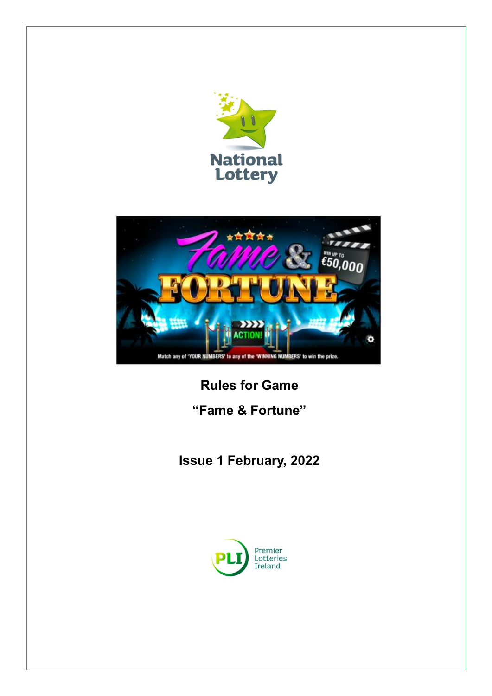



**Rules for Game "Fame & Fortune"**

**Issue 1 February, 2022**

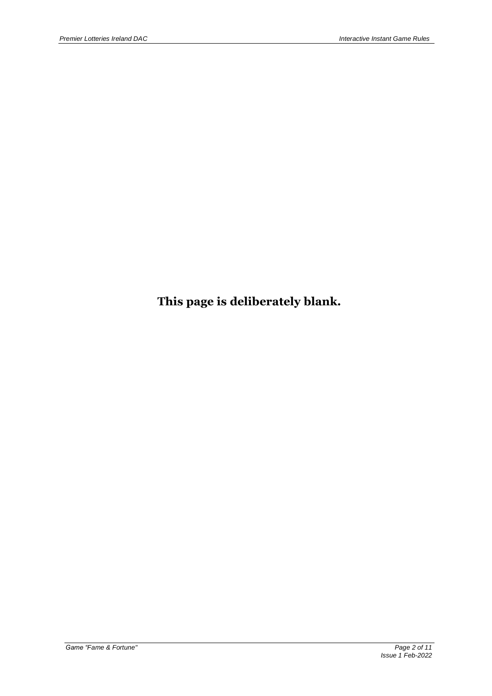**This page is deliberately blank.**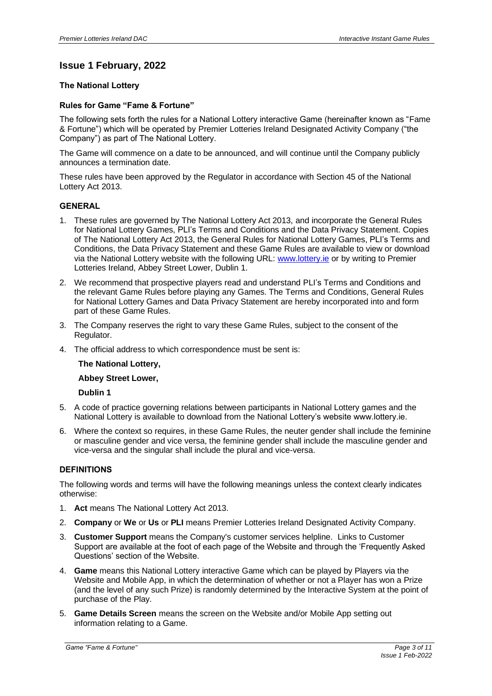# **Issue 1 February, 2022**

#### **The National Lottery**

## **Rules for Game "Fame & Fortune"**

The following sets forth the rules for a National Lottery interactive Game (hereinafter known as "Fame & Fortune") which will be operated by Premier Lotteries Ireland Designated Activity Company ("the Company") as part of The National Lottery.

The Game will commence on a date to be announced, and will continue until the Company publicly announces a termination date.

These rules have been approved by the Regulator in accordance with Section 45 of the National Lottery Act 2013.

#### **GENERAL**

- 1. These rules are governed by The National Lottery Act 2013, and incorporate the General Rules for National Lottery Games, PLI's Terms and Conditions and the Data Privacy Statement. Copies of The National Lottery Act 2013, the General Rules for National Lottery Games, PLI's Terms and Conditions, the Data Privacy Statement and these Game Rules are available to view or download via the National Lottery website with the following URL: [www.lottery.ie](http://www.lotto.ie/) or by writing to Premier Lotteries Ireland, Abbey Street Lower, Dublin 1.
- 2. We recommend that prospective players read and understand PLI's Terms and Conditions and the relevant Game Rules before playing any Games. The Terms and Conditions, General Rules for National Lottery Games and Data Privacy Statement are hereby incorporated into and form part of these Game Rules.
- 3. The Company reserves the right to vary these Game Rules, subject to the consent of the Regulator.
- 4. The official address to which correspondence must be sent is:

#### **The National Lottery,**

#### **Abbey Street Lower,**

**Dublin 1**

- 5. A code of practice governing relations between participants in National Lottery games and the National Lottery is available to download from the National Lottery's website www.lottery.ie.
- 6. Where the context so requires, in these Game Rules, the neuter gender shall include the feminine or masculine gender and vice versa, the feminine gender shall include the masculine gender and vice-versa and the singular shall include the plural and vice-versa.

#### **DEFINITIONS**

The following words and terms will have the following meanings unless the context clearly indicates otherwise:

- 1. **Act** means The National Lottery Act 2013.
- 2. **Company** or **We** or **Us** or **PLI** means Premier Lotteries Ireland Designated Activity Company.
- 3. **Customer Support** means the Company's customer services helpline. Links to Customer Support are available at the foot of each page of the Website and through the 'Frequently Asked Questions' section of the Website.
- 4. **Game** means this National Lottery interactive Game which can be played by Players via the Website and Mobile App, in which the determination of whether or not a Player has won a Prize (and the level of any such Prize) is randomly determined by the Interactive System at the point of purchase of the Play.
- 5. **Game Details Screen** means the screen on the Website and/or Mobile App setting out information relating to a Game.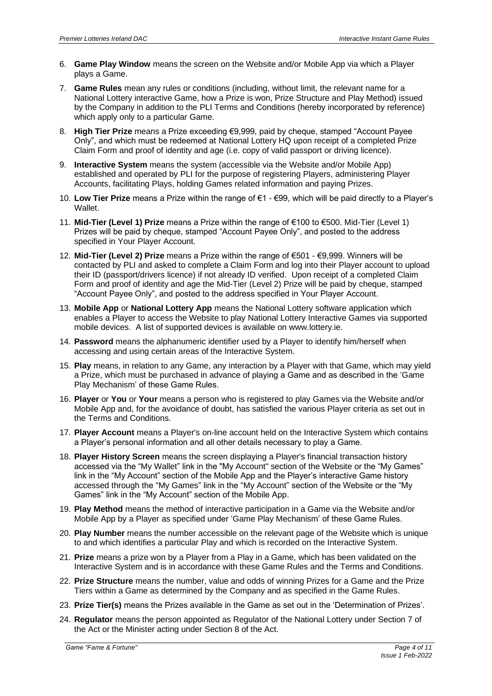- 6. **Game Play Window** means the screen on the Website and/or Mobile App via which a Player plays a Game.
- 7. **Game Rules** mean any rules or conditions (including, without limit, the relevant name for a National Lottery interactive Game, how a Prize is won, Prize Structure and Play Method) issued by the Company in addition to the PLI Terms and Conditions (hereby incorporated by reference) which apply only to a particular Game.
- 8. **High Tier Prize** means a Prize exceeding €9,999, paid by cheque, stamped "Account Payee Only", and which must be redeemed at National Lottery HQ upon receipt of a completed Prize Claim Form and proof of identity and age (i.e. copy of valid passport or driving licence).
- 9. **Interactive System** means the system (accessible via the Website and/or Mobile App) established and operated by PLI for the purpose of registering Players, administering Player Accounts, facilitating Plays, holding Games related information and paying Prizes.
- 10. **Low Tier Prize** means a Prize within the range of €1 €99, which will be paid directly to a Player's Wallet.
- 11. **Mid-Tier (Level 1) Prize** means a Prize within the range of €100 to €500. Mid-Tier (Level 1) Prizes will be paid by cheque, stamped "Account Payee Only", and posted to the address specified in Your Player Account.
- 12. **Mid-Tier (Level 2) Prize** means a Prize within the range of €501 €9,999. Winners will be contacted by PLI and asked to complete a Claim Form and log into their Player account to upload their ID (passport/drivers licence) if not already ID verified. Upon receipt of a completed Claim Form and proof of identity and age the Mid-Tier (Level 2) Prize will be paid by cheque, stamped "Account Payee Only", and posted to the address specified in Your Player Account.
- 13. **Mobile App** or **National Lottery App** means the National Lottery software application which enables a Player to access the Website to play National Lottery Interactive Games via supported mobile devices. A list of supported devices is available on www.lottery.ie.
- 14. **Password** means the alphanumeric identifier used by a Player to identify him/herself when accessing and using certain areas of the Interactive System.
- 15. **Play** means, in relation to any Game, any interaction by a Player with that Game, which may yield a Prize, which must be purchased in advance of playing a Game and as described in the 'Game Play Mechanism' of these Game Rules.
- 16. **Player** or **You** or **Your** means a person who is registered to play Games via the Website and/or Mobile App and, for the avoidance of doubt, has satisfied the various Player criteria as set out in the Terms and Conditions.
- 17. **Player Account** means a Player's on-line account held on the Interactive System which contains a Player's personal information and all other details necessary to play a Game.
- 18. **Player History Screen** means the screen displaying a Player's financial transaction history accessed via the "My Wallet" link in the "My Account" section of the Website or the "My Games" link in the "My Account" section of the Mobile App and the Player's interactive Game history accessed through the "My Games" link in the "My Account" section of the Website or the "My Games" link in the "My Account" section of the Mobile App.
- 19. **Play Method** means the method of interactive participation in a Game via the Website and/or Mobile App by a Player as specified under 'Game Play Mechanism' of these Game Rules.
- 20. **Play Number** means the number accessible on the relevant page of the Website which is unique to and which identifies a particular Play and which is recorded on the Interactive System.
- 21. **Prize** means a prize won by a Player from a Play in a Game, which has been validated on the Interactive System and is in accordance with these Game Rules and the Terms and Conditions.
- 22. **Prize Structure** means the number, value and odds of winning Prizes for a Game and the Prize Tiers within a Game as determined by the Company and as specified in the Game Rules.
- 23. **Prize Tier(s)** means the Prizes available in the Game as set out in the 'Determination of Prizes'.
- 24. **Regulator** means the person appointed as Regulator of the National Lottery under Section 7 of the Act or the Minister acting under Section 8 of the Act.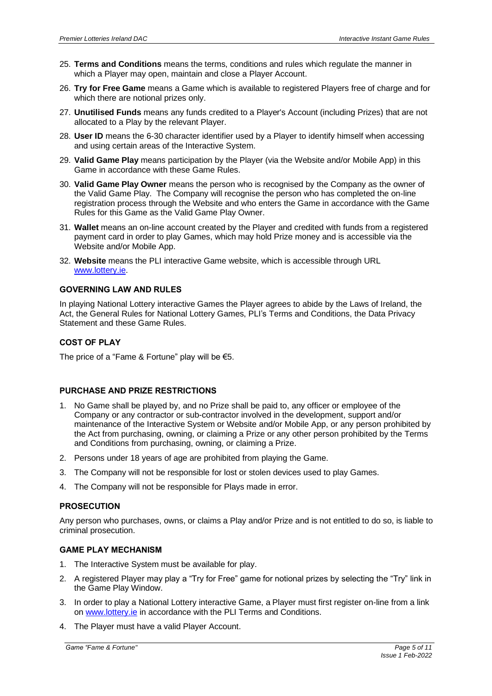- 25. **Terms and Conditions** means the terms, conditions and rules which regulate the manner in which a Player may open, maintain and close a Player Account.
- 26. **Try for Free Game** means a Game which is available to registered Players free of charge and for which there are notional prizes only.
- 27. **Unutilised Funds** means any funds credited to a Player's Account (including Prizes) that are not allocated to a Play by the relevant Player.
- 28. **User ID** means the 6-30 character identifier used by a Player to identify himself when accessing and using certain areas of the Interactive System.
- 29. **Valid Game Play** means participation by the Player (via the Website and/or Mobile App) in this Game in accordance with these Game Rules.
- 30. **Valid Game Play Owner** means the person who is recognised by the Company as the owner of the Valid Game Play. The Company will recognise the person who has completed the on-line registration process through the Website and who enters the Game in accordance with the Game Rules for this Game as the Valid Game Play Owner.
- 31. **Wallet** means an on-line account created by the Player and credited with funds from a registered payment card in order to play Games, which may hold Prize money and is accessible via the Website and/or Mobile App.
- 32. **Website** means the PLI interactive Game website, which is accessible through URL www.lottery.ie.

## **GOVERNING LAW AND RULES**

In playing National Lottery interactive Games the Player agrees to abide by the Laws of Ireland, the Act, the General Rules for National Lottery Games, PLI's Terms and Conditions, the Data Privacy Statement and these Game Rules.

## **COST OF PLAY**

The price of a "Fame & Fortune" play will be  $\epsilon$ 5.

#### **PURCHASE AND PRIZE RESTRICTIONS**

- 1. No Game shall be played by, and no Prize shall be paid to, any officer or employee of the Company or any contractor or sub-contractor involved in the development, support and/or maintenance of the Interactive System or Website and/or Mobile App, or any person prohibited by the Act from purchasing, owning, or claiming a Prize or any other person prohibited by the Terms and Conditions from purchasing, owning, or claiming a Prize.
- 2. Persons under 18 years of age are prohibited from playing the Game.
- 3. The Company will not be responsible for lost or stolen devices used to play Games.
- 4. The Company will not be responsible for Plays made in error.

#### **PROSECUTION**

Any person who purchases, owns, or claims a Play and/or Prize and is not entitled to do so, is liable to criminal prosecution.

#### **GAME PLAY MECHANISM**

- 1. The Interactive System must be available for play.
- 2. A registered Player may play a "Try for Free" game for notional prizes by selecting the "Try" link in the Game Play Window.
- 3. In order to play a National Lottery interactive Game, a Player must first register on-line from a link on [www.lottery.ie](http://www.lotto.ie/) in accordance with the PLI Terms and Conditions.
- 4. The Player must have a valid Player Account.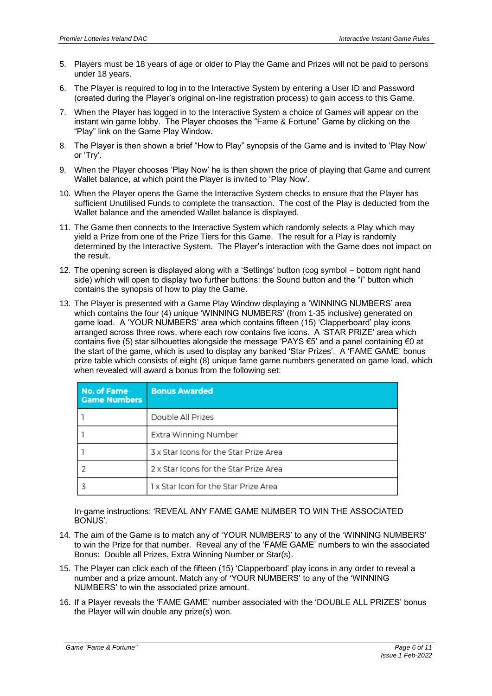- 5. Players must be 18 years of age or older to Play the Game and Prizes will not be paid to persons under 18 years.
- 6. The Player is required to log in to the Interactive System by entering a User ID and Password (created during the Player's original on-line registration process) to gain access to this Game.
- 7. When the Player has logged in to the Interactive System a choice of Games will appear on the instant win game lobby. The Player chooses the "Fame & Fortune" Game by clicking on the "Play" link on the Game Play Window.
- 8. The Player is then shown a brief "How to Play" synopsis of the Game and is invited to 'Play Now' or 'Try'.
- 9. When the Player chooses 'Play Now' he is then shown the price of playing that Game and current Wallet balance, at which point the Player is invited to 'Play Now'.
- 10. When the Player opens the Game the Interactive System checks to ensure that the Player has sufficient Unutilised Funds to complete the transaction. The cost of the Play is deducted from the Wallet balance and the amended Wallet balance is displayed.
- 11. The Game then connects to the Interactive System which randomly selects a Play which may yield a Prize from one of the Prize Tiers for this Game. The result for a Play is randomly determined by the Interactive System. The Player's interaction with the Game does not impact on the result.
- 12. The opening screen is displayed along with a 'Settings' button (cog symbol bottom right hand side) which will open to display two further buttons: the Sound button and the "i" button which contains the synopsis of how to play the Game.
- 13. The Player is presented with a Game Play Window displaying a 'WINNING NUMBERS' area which contains the four (4) unique 'WINNING NUMBERS' (from 1-35 inclusive) generated on game load. A 'YOUR NUMBERS' area which contains fifteen (15) 'Clapperboard' play icons arranged across three rows, where each row contains five icons. A 'STAR PRIZE' area which contains five (5) star silhouettes alongside the message 'PAYS €5' and a panel containing €0 at the start of the game, which is used to display any banked 'Star Prizes'. A 'FAME GAME' bonus prize table which consists of eight (8) unique fame game numbers generated on game load, which when revealed will award a bonus from the following set:

| No. of Fame<br><b>Game Numbers</b> | <b>Bonus Awarded</b>                   |
|------------------------------------|----------------------------------------|
|                                    | Double All Prizes                      |
|                                    | Extra Winning Number                   |
|                                    | 3 x Star Icons for the Star Prize Area |
|                                    | 2 x Star Icons for the Star Prize Area |
|                                    | 1 x Star Icon for the Star Prize Area  |

In-game instructions: 'REVEAL ANY FAME GAME NUMBER TO WIN THE ASSOCIATED BONUS'.

- 14. The aim of the Game is to match any of 'YOUR NUMBERS' to any of the 'WINNING NUMBERS' to win the Prize for that number. Reveal any of the 'FAME GAME' numbers to win the associated Bonus: Double all Prizes, Extra Winning Number or Star(s).
- 15. The Player can click each of the fifteen (15) 'Clapperboard' play icons in any order to reveal a number and a prize amount. Match any of 'YOUR NUMBERS' to any of the 'WINNING NUMBERS' to win the associated prize amount.
- 16. If a Player reveals the 'FAME GAME' number associated with the 'DOUBLE ALL PRIZES' bonus the Player will win double any prize(s) won.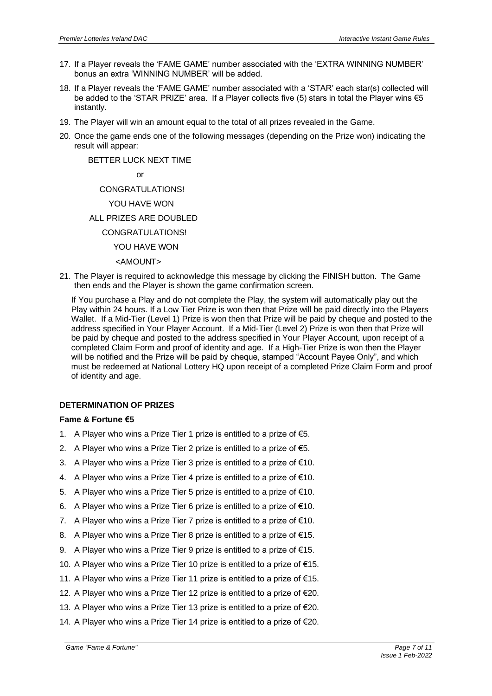- 17. If a Player reveals the 'FAME GAME' number associated with the 'EXTRA WINNING NUMBER' bonus an extra 'WINNING NUMBER' will be added.
- 18. If a Player reveals the 'FAME GAME' number associated with a 'STAR' each star(s) collected will be added to the 'STAR PRIZE' area. If a Player collects five (5) stars in total the Player wins  $\epsilon$ 5 instantly.
- 19. The Player will win an amount equal to the total of all prizes revealed in the Game.
- 20. Once the game ends one of the following messages (depending on the Prize won) indicating the result will appear:

BETTER LUCK NEXT TIME

**or** *or* **or** CONGRATULATIONS!

YOU HAVE WON

ALL PRIZES ARE DOUBLED

CONGRATULATIONS!

YOU HAVE WON

<AMOUNT>

21. The Player is required to acknowledge this message by clicking the FINISH button. The Game then ends and the Player is shown the game confirmation screen.

If You purchase a Play and do not complete the Play, the system will automatically play out the Play within 24 hours. If a Low Tier Prize is won then that Prize will be paid directly into the Players Wallet. If a Mid-Tier (Level 1) Prize is won then that Prize will be paid by cheque and posted to the address specified in Your Player Account. If a Mid-Tier (Level 2) Prize is won then that Prize will be paid by cheque and posted to the address specified in Your Player Account, upon receipt of a completed Claim Form and proof of identity and age. If a High-Tier Prize is won then the Player will be notified and the Prize will be paid by cheque, stamped "Account Payee Only", and which must be redeemed at National Lottery HQ upon receipt of a completed Prize Claim Form and proof of identity and age.

#### **DETERMINATION OF PRIZES**

#### **Fame & Fortune €5**

- 1. A Player who wins a Prize Tier 1 prize is entitled to a prize of  $65$ .
- 2. A Player who wins a Prize Tier 2 prize is entitled to a prize of  $65$ .
- 3. A Player who wins a Prize Tier 3 prize is entitled to a prize of €10.
- 4. A Player who wins a Prize Tier 4 prize is entitled to a prize of €10.
- 5. A Player who wins a Prize Tier 5 prize is entitled to a prize of €10.
- 6. A Player who wins a Prize Tier 6 prize is entitled to a prize of €10.
- 7. A Player who wins a Prize Tier 7 prize is entitled to a prize of  $\epsilon$ 10.
- 8. A Player who wins a Prize Tier 8 prize is entitled to a prize of €15.
- 9. A Player who wins a Prize Tier 9 prize is entitled to a prize of €15.
- 10. A Player who wins a Prize Tier 10 prize is entitled to a prize of €15.
- 11. A Player who wins a Prize Tier 11 prize is entitled to a prize of €15.
- 12. A Player who wins a Prize Tier 12 prize is entitled to a prize of €20.
- 13. A Player who wins a Prize Tier 13 prize is entitled to a prize of €20.
- 14. A Player who wins a Prize Tier 14 prize is entitled to a prize of €20.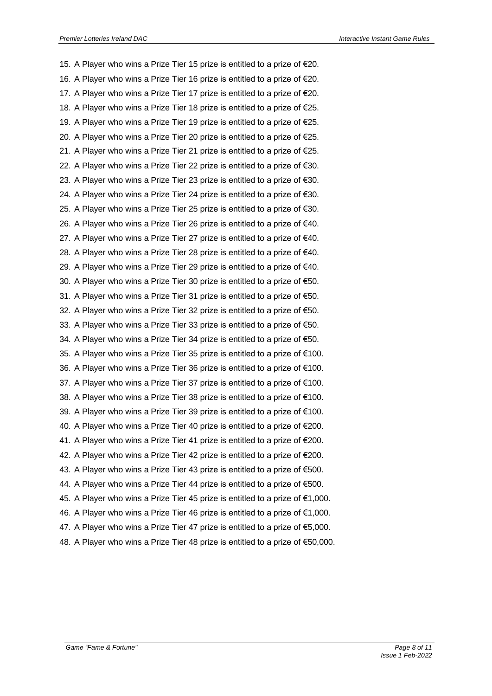15. A Player who wins a Prize Tier 15 prize is entitled to a prize of €20. 16. A Player who wins a Prize Tier 16 prize is entitled to a prize of €20. 17. A Player who wins a Prize Tier 17 prize is entitled to a prize of €20. 18. A Player who wins a Prize Tier 18 prize is entitled to a prize of €25. 19. A Player who wins a Prize Tier 19 prize is entitled to a prize of €25. 20. A Player who wins a Prize Tier 20 prize is entitled to a prize of €25. 21. A Player who wins a Prize Tier 21 prize is entitled to a prize of €25. 22. A Player who wins a Prize Tier 22 prize is entitled to a prize of €30. 23. A Player who wins a Prize Tier 23 prize is entitled to a prize of €30. 24. A Player who wins a Prize Tier 24 prize is entitled to a prize of €30. 25. A Player who wins a Prize Tier 25 prize is entitled to a prize of €30. 26. A Player who wins a Prize Tier 26 prize is entitled to a prize of €40. 27. A Player who wins a Prize Tier 27 prize is entitled to a prize of €40. 28. A Player who wins a Prize Tier 28 prize is entitled to a prize of €40. 29. A Player who wins a Prize Tier 29 prize is entitled to a prize of €40. 30. A Player who wins a Prize Tier 30 prize is entitled to a prize of €50. 31. A Player who wins a Prize Tier 31 prize is entitled to a prize of €50. 32. A Player who wins a Prize Tier 32 prize is entitled to a prize of €50. 33. A Player who wins a Prize Tier 33 prize is entitled to a prize of €50. 34. A Player who wins a Prize Tier 34 prize is entitled to a prize of €50. 35. A Player who wins a Prize Tier 35 prize is entitled to a prize of €100. 36. A Player who wins a Prize Tier 36 prize is entitled to a prize of €100. 37. A Player who wins a Prize Tier 37 prize is entitled to a prize of €100. 38. A Player who wins a Prize Tier 38 prize is entitled to a prize of €100. 39. A Player who wins a Prize Tier 39 prize is entitled to a prize of €100. 40. A Player who wins a Prize Tier 40 prize is entitled to a prize of €200. 41. A Player who wins a Prize Tier 41 prize is entitled to a prize of €200. 42. A Player who wins a Prize Tier 42 prize is entitled to a prize of €200. 43. A Player who wins a Prize Tier 43 prize is entitled to a prize of €500. 44. A Player who wins a Prize Tier 44 prize is entitled to a prize of €500. 45. A Player who wins a Prize Tier 45 prize is entitled to a prize of €1,000. 46. A Player who wins a Prize Tier 46 prize is entitled to a prize of €1,000. 47. A Player who wins a Prize Tier 47 prize is entitled to a prize of €5,000. 48. A Player who wins a Prize Tier 48 prize is entitled to a prize of €50,000.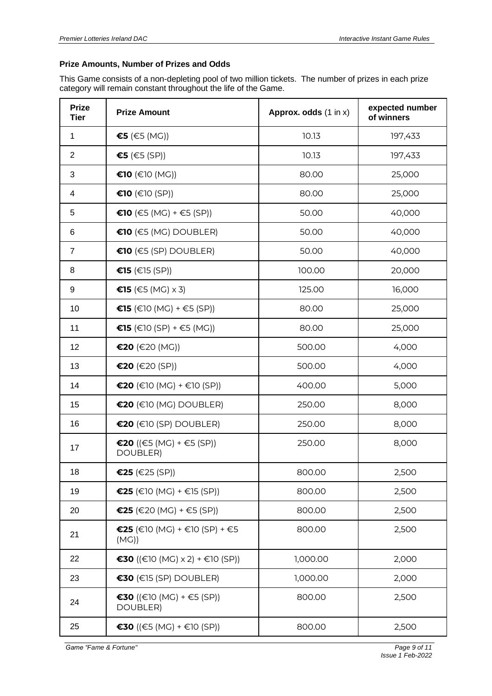## **Prize Amounts, Number of Prizes and Odds**

This Game consists of a non-depleting pool of two million tickets. The number of prizes in each prize category will remain constant throughout the life of the Game.

| <b>Prize</b><br><b>Tier</b> | <b>Prize Amount</b>                    | Approx. odds (1 in x) | expected number<br>of winners |
|-----------------------------|----------------------------------------|-----------------------|-------------------------------|
| 1                           | $€5$ ( $€5$ (MG))                      | 10.13                 | 197,433                       |
| 2                           | $€5$ (€5 (SP))                         | 10.13                 | 197,433                       |
| 3                           | $E10$ ( $E10$ (MG))                    | 80.00                 | 25,000                        |
| 4                           | $E10$ ( $E10$ (SP))                    | 80.00                 | 25,000                        |
| 5                           | €10 (€5 (MG) + €5 (SP))                | 50.00                 | 40,000                        |
| 6                           | €10 (€5 (MG) DOUBLER)                  | 50.00                 | 40,000                        |
| $\overline{7}$              | €10 (€5 (SP) DOUBLER)                  | 50.00                 | 40,000                        |
| 8                           | €15 (€15 (SP))                         | 100.00                | 20,000                        |
| 9                           | €15 ( $€5$ (MG) $\times$ 3)            | 125.00                | 16,000                        |
| 10                          | €15 (€10 (MG) + €5 (SP))               | 80.00                 | 25,000                        |
| 11                          | €15 (€10 (SP) + €5 (MG))               | 80.00                 | 25,000                        |
| 12                          | €20 (€20 (MG))                         | 500.00                | 4,000                         |
| 13                          | <b>€20</b> (€20 (SP))                  | 500.00                | 4,000                         |
| 14                          | €20 (€10 (MG) + €10 (SP))              | 400.00                | 5,000                         |
| 15                          | €20 ( $∈$ 10 (MG) DOUBLER)             | 250.00                | 8,000                         |
| 16                          | €20 (€10 (SP) DOUBLER)                 | 250.00                | 8,000                         |
| 17                          | €20 ((€5 (MG) + €5 (SP))<br>DOUBLER)   | 250.00                | 8,000                         |
| 18                          | <b>€25</b> (€25 (SP))                  | 800.00                | 2,500                         |
| 19                          | <b>€25</b> (€10 (MG) + €15 (SP))       | 800.00                | 2,500                         |
| 20                          | €25 (€20 (MG) + €5 (SP))               | 800.00                | 2,500                         |
| 21                          | €25 (€10 (MG) + €10 (SP) + €5<br>(MG)) | 800.00                | 2,500                         |
| 22                          | <b>€30</b> ((€10 (MG) x 2) + €10 (SP)) | 1,000.00              | 2,000                         |
| 23                          | €30 (€15 (SP) DOUBLER)                 | 1,000.00              | 2,000                         |
| 24                          | €30 ((€10 (MG) + €5 (SP))<br>DOUBLER)  | 800.00                | 2,500                         |
| 25                          | €30 ((€5 (MG) + €10 (SP))              | 800.00                | 2,500                         |

**Game "Fame & Fortune"**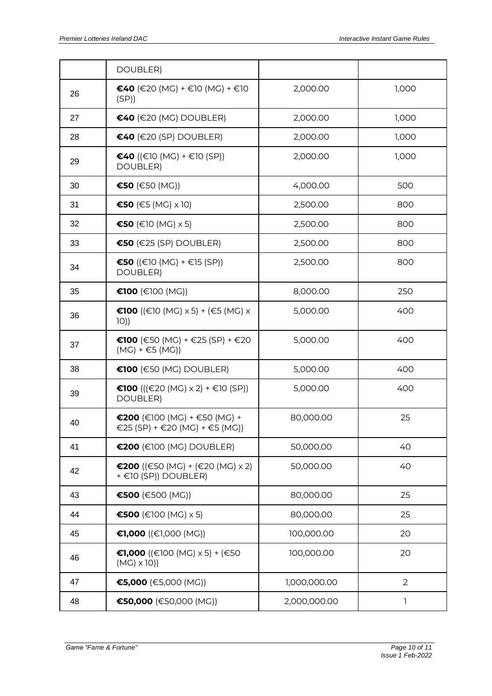|    | DOUBLER)                                                          |              |                |
|----|-------------------------------------------------------------------|--------------|----------------|
| 26 | €40 (€20 (MG) + €10 (MG) + €10<br>(SP)                            | 2,000.00     | 1,000          |
| 27 | $€40$ (€20 (MG) DOUBLER)                                          | 2,000.00     | 1,000          |
| 28 | €40 (€20 (SP) DOUBLER)                                            | 2,000.00     | 1,000          |
| 29 | €40 ((€10 (MG) + €10 (SP))<br>DOUBLER)                            | 2,000.00     | 1,000          |
| 30 | €50 (€50 (MG))                                                    | 4,000.00     | 500            |
| 31 | €50 (€5 (MG) $\times$ 10)                                         | 2,500.00     | 800            |
| 32 | €50 (€10 (MG) $\times$ 5)                                         | 2,500.00     | 800            |
| 33 | €50 (€25 (SP) DOUBLER)                                            | 2,500.00     | 800            |
| 34 | €50 ((€10 (MG) + €15 (SP))<br>DOUBLER)                            | 2,500.00     | 800            |
| 35 | €100 (€100 (MG))                                                  | 8,000.00     | 250            |
| 36 | €100 ((€10 (MG) $\times$ 5) + (€5 (MG) $\times$<br>10)            | 5,000.00     | 400            |
| 37 | €100 (€50 (MG) + €25 (SP) + €20<br>$(MG) + \epsilon 5 (MG)$       | 5,000.00     | 400            |
| 38 | €100 (€50 (MG) DOUBLER)                                           | 5,000.00     | 400            |
| 39 | €100 (((€20 (MG) x 2) + €10 (SP))<br>DOUBLER)                     | 5,000.00     | 400            |
| 40 | €200 (€100 (MG) + €50 (MG) +<br>$€25 (SP) + €20 (MG) + €5 (MG))$  | 80,000.00    | 25             |
| 41 | €200 (€100 (MG) DOUBLER)                                          | 50,000.00    | 40             |
| 42 | <b>€200</b> ((€50 (MG) + (€20 (MG) x 2)<br>$+$ €10 (SP)) DOUBLER) | 50,000.00    | 40             |
| 43 | €500 (€500 (MG))                                                  | 80,000.00    | 25             |
| 44 | €500 (€100 (MG) $\times$ 5)                                       | 80,000.00    | 25             |
| 45 | $\bigcirc$ 1,000 ((€1,000 (MG))                                   | 100,000.00   | 20             |
| 46 | €1,000 ((€100 (MG) $\times$ 5) + (€50<br>$(MG) \times 10)$        | 100,000.00   | 20             |
| 47 | €5,000 (€5,000 (MG))                                              | 1,000,000.00 | $\overline{2}$ |
| 48 | €50,000 (€50,000 (MG))                                            | 2,000,000.00 | 1              |